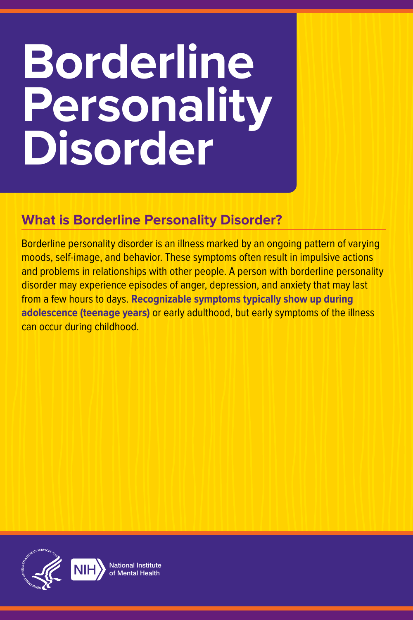# **Borderline Personality Disorder**

# **What is Borderline Personality Disorder?**

Borderline personality disorder is an illness marked by an ongoing pattern of varying moods, self-image, and behavior. These symptoms often result in impulsive actions and problems in relationships with other people. A person with borderline personality disorder may experience episodes of anger, depression, and anxiety that may last from a few hours to days. **[Recognizable symptoms typically show up during](https://www.ncbi.nlm.nih.gov/pmc/articles/PMC3865353/)  [adolescence \(teenage years\)](https://www.ncbi.nlm.nih.gov/pmc/articles/PMC3865353/)** or early adulthood, but early symptoms of the illness can occur during childhood.

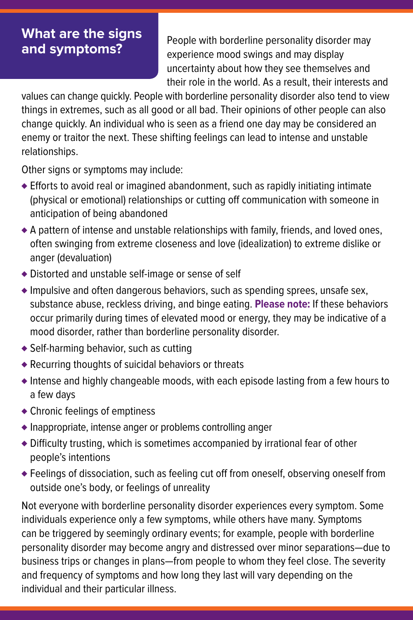# **What are the signs**

**and symptoms?** People with borderline personality disorder may<br>and symptoms? experience mood swings and may display uncertainty about how they see themselves and their role in the world. As a result, their interests and

values can change quickly. People with borderline personality disorder also tend to view things in extremes, such as all good or all bad. Their opinions of other people can also change quickly. An individual who is seen as a friend one day may be considered an enemy or traitor the next. These shifting feelings can lead to intense and unstable relationships.

Other signs or symptoms may include:

- $\bullet$  Efforts to avoid real or imagined abandonment, such as rapidly initiating intimate (physical or emotional) relationships or cutting off communication with someone in anticipation of being abandoned
- $\bullet$  A pattern of intense and unstable relationships with family, friends, and loved ones, often swinging from extreme closeness and love (idealization) to extreme dislike or anger (devaluation)
- ♦ Distorted and unstable self-image or sense of self
- ♦ Impulsive and often dangerous behaviors, such as spending sprees, unsafe sex, substance abuse, reckless driving, and binge eating. **Please note:** If these behaviors occur primarily during times of elevated mood or energy, they may be indicative of a mood disorder, rather than borderline personality disorder.
- $\triangle$  Self-harming behavior, such as cutting
- $\triangle$  Recurring thoughts of suicidal behaviors or threats
- $\bullet$  Intense and highly changeable moods, with each episode lasting from a few hours to a few days
- $\triangle$  Chronic feelings of emptiness
- $\bullet$  Inappropriate, intense anger or problems controlling anger
- $\bullet$  Difficulty trusting, which is sometimes accompanied by irrational fear of other people's intentions
- ♦ Feelings of dissociation, such as feeling cut off from oneself, observing oneself from outside one's body, or feelings of unreality

Not everyone with borderline personality disorder experiences every symptom. Some individuals experience only a few symptoms, while others have many. Symptoms can be triggered by seemingly ordinary events; for example, people with borderline personality disorder may become angry and distressed over minor separations—due to business trips or changes in plans—from people to whom they feel close. The severity and frequency of symptoms and how long they last will vary depending on the individual and their particular illness.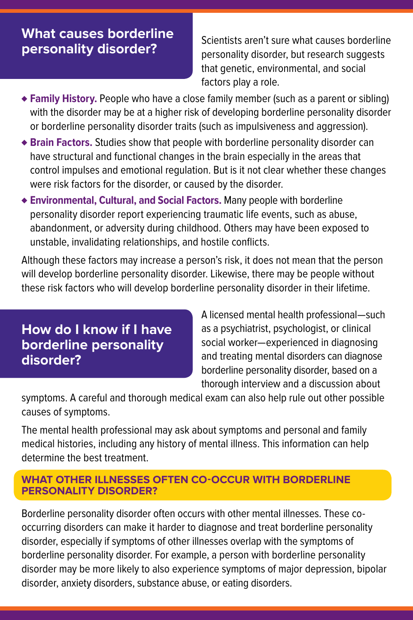# **What causes borderline**

**personality disorder?** Scientists aren't sure what causes borderline<br> **personality disorder?** Separability disorder, but research suggests personality disorder, but research suggests that genetic, environmental, and social factors play a role.

- ♦ **Family History.** People who have a close family member (such as a parent or sibling) with the disorder may be at a higher risk of developing borderline personality disorder or borderline personality disorder traits (such as impulsiveness and aggression).
- ♦ **Brain Factors.** Studies show that people with borderline personality disorder can have structural and functional changes in the brain especially in the areas that control impulses and emotional regulation. But is it not clear whether these changes were risk factors for the disorder, or caused by the disorder.
- ♦ **Environmental, Cultural, and Social Factors.** Many people with borderline personality disorder report experiencing traumatic life events, such as abuse, abandonment, or adversity during childhood. Others may have been exposed to unstable, invalidating relationships, and hostile conflicts.

Although these factors may increase a person's risk, it does not mean that the person will develop borderline personality disorder. Likewise, there may be people without these risk factors who will develop borderline personality disorder in their lifetime.

# **How do I know if I have borderline personality disorder?**

A licensed mental health professional—such as a psychiatrist, psychologist, or clinical social worker—experienced in diagnosing and treating mental disorders can diagnose borderline personality disorder, based on a thorough interview and a discussion about

symptoms. A careful and thorough medical exam can also help rule out other possible causes of symptoms.

The mental health professional may ask about symptoms and personal and family medical histories, including any history of mental illness. This information can help determine the best treatment.

#### **WHAT OTHER ILLNESSES OFTEN CO-OCCUR WITH BORDERLINE PERSONALITY DISORDER?**

Borderline personality disorder often occurs with other mental illnesses. These cooccurring disorders can make it harder to diagnose and treat borderline personality disorder, especially if symptoms of other illnesses overlap with the symptoms of borderline personality disorder. For example, a person with borderline personality disorder may be more likely to also experience symptoms of major depression, bipolar disorder, anxiety disorders, substance abuse, or eating disorders.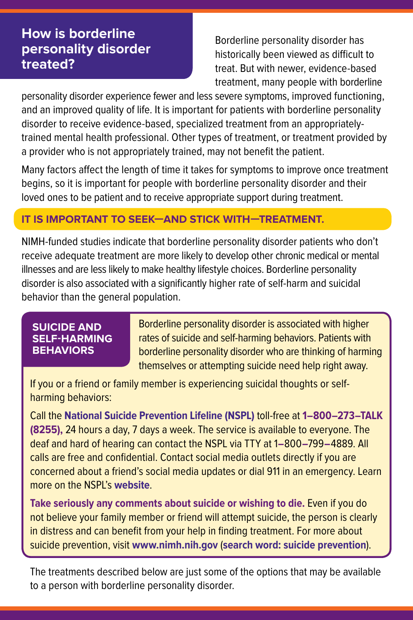### **How is borderline personality disorder treated?**

Borderline personality disorder has historically been viewed as difficult to treat. But with newer, evidence-based treatment, many people with borderline

personality disorder experience fewer and less severe symptoms, improved functioning, and an improved quality of life. It is important for patients with borderline personality disorder to receive evidence-based, specialized treatment from an appropriatelytrained mental health professional. Other types of treatment, or treatment provided by a provider who is not appropriately trained, may not benefit the patient.

Many factors affect the length of time it takes for symptoms to improve once treatment begins, so it is important for people with borderline personality disorder and their loved ones to be patient and to receive appropriate support during treatment.

#### **IT IS IMPORTANT TO SEEK—AND STICK WITH—TREATMENT.**

NIMH-funded studies indicate that borderline personality disorder patients who don't receive adequate treatment are more likely to develop other chronic medical or mental illnesses and are less likely to make healthy lifestyle choices. Borderline personality disorder is also associated with a significantly higher rate of self-harm and suicidal behavior than the general population.

#### **SUICIDE AND SELF-HARMING BEHAVIORS**

Borderline personality disorder is associated with higher rates of suicide and self-harming behaviors. Patients with borderline personality disorder who are thinking of harming themselves or attempting suicide need help right away.

If you or a friend or family member is experiencing suicidal thoughts or selfharming behaviors:

Call the **[National Suicide Prevention Lifeline \(NSPL\)](http://suicidepreventionlifeline.org/)** toll-free at **1–800–273–TALK (8255),** 24 hours a day, 7 days a week. The service is available to everyone. The deaf and hard of hearing can contact the NSPL via TTY at 1**–**800**–**799**–**4889. All calls are free and confidential. Contact social media outlets directly if you are concerned about a friend's social media updates or dial 911 in an emergency. Learn more on the NSPL's **[website](https://suicidepreventionlifeline.org/help-someone-else/)**.

**Take seriously any comments about suicide or wishing to die.** Even if you do not believe your family member or friend will attempt suicide, the person is clearly in distress and can benefit from your help in finding treatment. For more about suicide prevention, visit **[www.nimh.nih.gov](http://www.nimh.nih.gov)** (**[search word: suicide prevention](https://www.nimh.nih.gov/health/topics/suicide-prevention/index.shtml)**).

The treatments described below are just some of the options that may be available to a person with borderline personality disorder.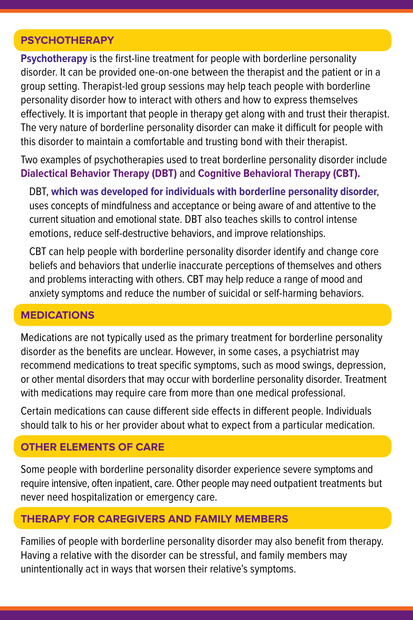#### **PSYCHOTHERAPY**

**[Psychotherapy](https://www.nimh.nih.gov/health/topics/psychotherapies/index.shtml)** is the first-line treatment for people with borderline personality disorder. It can be provided one-on-one between the therapist and the patient or in a group setting. Therapist-led group sessions may help teach people with borderline personality disorder how to interact with others and how to express themselves effectively. It is important that people in therapy get along with and trust their therapist. The very nature of borderline personality disorder can make it difficult for people with this disorder to maintain a comfortable and trusting bond with their therapist.

Two examples of psychotherapies used to treat borderline personality disorder include **Dialectical Behavior Therapy (DBT)** and **Cognitive Behavioral Therapy (CBT).** 

DBT, **[which was developed for individuals with borderline personality disorder](https://linehaninstitute.org/evidence-for-dbt/)**, uses concepts of mindfulness and acceptance or being aware of and attentive to the current situation and emotional state. DBT also teaches skills to control intense emotions, reduce self-destructive behaviors, and improve relationships.

CBT can help people with borderline personality disorder identify and change core beliefs and behaviors that underlie inaccurate perceptions of themselves and others and problems interacting with others. CBT may help reduce a range of mood and anxiety symptoms and reduce the number of suicidal or self-harming behaviors.

#### **MEDICATIONS**

Medications are not typically used as the primary treatment for borderline personality disorder as the benefits are unclear. However, in some cases, a psychiatrist may recommend medications to treat specific symptoms, such as mood swings, depression, or other mental disorders that may occur with borderline personality disorder. Treatment with medications may require care from more than one medical professional.

Certain medications can cause different side effects in different people. Individuals should talk to his or her provider about what to expect from a particular medication.

#### **OTHER ELEMENTS OF CARE**

Some people with borderline personality disorder experience severe symptoms and require intensive, often inpatient, care. Other people may need outpatient treatments but never need hospitalization or emergency care.

#### **THERAPY FOR CAREGIVERS AND FAMILY MEMBERS**

Families of people with borderline personality disorder may also benefit from therapy. Having a relative with the disorder can be stressful, and family members may unintentionally act in ways that worsen their relative's symptoms.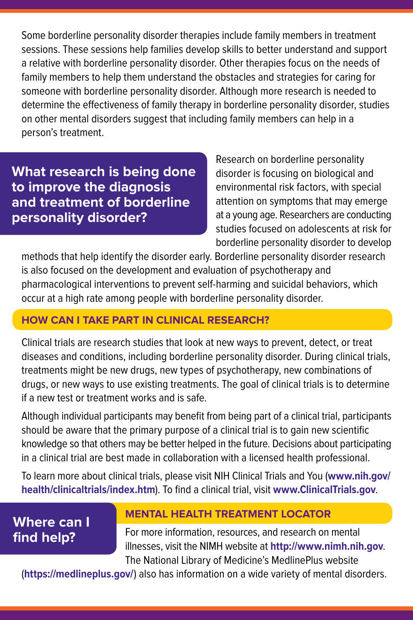Some borderline personality disorder therapies include family members in treatment sessions. These sessions help families develop skills to better understand and support a relative with borderline personality disorder. Other therapies focus on the needs of family members to help them understand the obstacles and strategies for caring for someone with borderline personality disorder. Although more research is needed to determine the effectiveness of family therapy in borderline personality disorder, studies on other mental disorders suggest that including family members can help in a person's treatment.

**What research is being done to improve the diagnosis and treatment of borderline personality disorder?**

Research on borderline personality disorder is focusing on biological and environmental risk factors, with special attention on symptoms that may emerge at a young age. Researchers are conducting studies focused on adolescents at risk for borderline personality disorder to develop

methods that help identify the disorder early. Borderline personality disorder research is also focused on the development and evaluation of psychotherapy and pharmacological interventions to prevent self-harming and suicidal behaviors, which occur at a high rate among people with borderline personality disorder.

#### **HOW CAN I TAKE PART IN CLINICAL RESEARCH?**

Clinical trials are research studies that look at new ways to prevent, detect, or treat diseases and conditions, including borderline personality disorder. During clinical trials, treatments might be new drugs, new types of psychotherapy, new combinations of drugs, or new ways to use existing treatments. The goal of clinical trials is to determine if a new test or treatment works and is safe.

Although individual participants may benefit from being part of a clinical trial, participants should be aware that the primary purpose of a clinical trial is to gain new scientific knowledge so that others may be better helped in the future. Decisions about participating in a clinical trial are best made in collaboration with a licensed health professional.

To learn more about clinical trials, please visit NIH Clinical Trials and You (**[www.nih.gov/](http://www.nih.gov/health/clinicaltrials/index.htm) [health/clinicaltrials/index.htm](http://www.nih.gov/health/clinicaltrials/index.htm)**). To find a clinical trial, visit **[www.ClinicalTrials.gov](https://clinicaltrials.gov/)**.

### **Where can I find help?**

#### **MENTAL HEALTH TREATMENT LOCATOR**

For more information, resources, and research on mental illnesses, visit the NIMH website at **<http://www.nimh.nih.gov>**. The National Library of Medicine's MedlinePlus website

(**<https://medlineplus.gov/>**) also has information on a wide variety of mental disorders.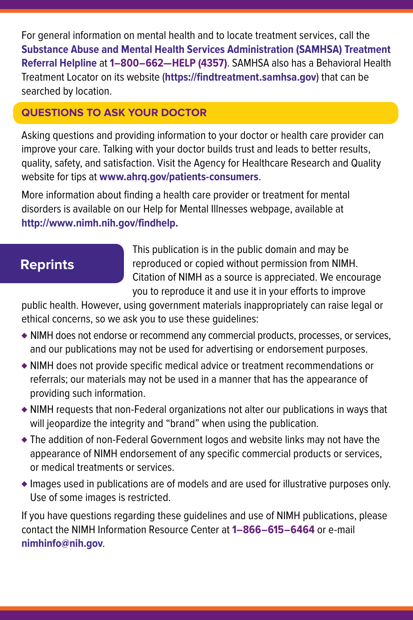For general information on mental health and to locate treatment services, call the **[Substance Abuse and Mental Health Services Administration \(SAMHSA\) Treatment](https://www.samhsa.gov/find-help/national-helpline)  [Referral Helpline](https://www.samhsa.gov/find-help/national-helpline)** at **1–800–662—HELP (4357)**. SAMHSA also has a Behavioral Health Treatment Locator on its website (**[https://findtreatment.samhsa.gov](https://findtreatment.samhsa.gov/)**) that can be searched by location.

#### **QUESTIONS TO ASK YOUR DOCTOR**

Asking questions and providing information to your doctor or health care provider can improve your care. Talking with your doctor builds trust and leads to better results, quality, safety, and satisfaction. Visit the Agency for Healthcare Research and Quality website for tips at **[www.ahrq.gov/patients-consumers](http://www.ahrq.gov/patients-consumers)**.

More information about finding a health care provider or treatment for mental disorders is available on our Help for Mental Illnesses webpage, available at **[http://www.nimh.nih.gov/findhelp.](http://www.nimh.nih.gov/findhelp)**

# **Reprints**

This publication is in the public domain and may be reproduced or copied without permission from NIMH. Citation of NIMH as a source is appreciated. We encourage you to reproduce it and use it in your efforts to improve

public health. However, using government materials inappropriately can raise legal or ethical concerns, so we ask you to use these guidelines:

- ♦ NIMH does not endorse or recommend any commercial products, processes, or services, and our publications may not be used for advertising or endorsement purposes.
- ♦ NIMH does not provide specific medical advice or treatment recommendations or referrals; our materials may not be used in a manner that has the appearance of providing such information.
- ♦ NIMH requests that non-Federal organizations not alter our publications in ways that will jeopardize the integrity and "brand" when using the publication.
- ♦ The addition of non-Federal Government logos and website links may not have the appearance of NIMH endorsement of any specific commercial products or services, or medical treatments or services.
- ♦ Images used in publications are of models and are used for illustrative purposes only. Use of some images is restricted.

If you have questions regarding these guidelines and use of NIMH publications, please contact the NIMH Information Resource Center at **1–866–615–6464** or e-mail **[nimhinfo@nih.gov](mailto:nimhinfo@nih.gov)**.